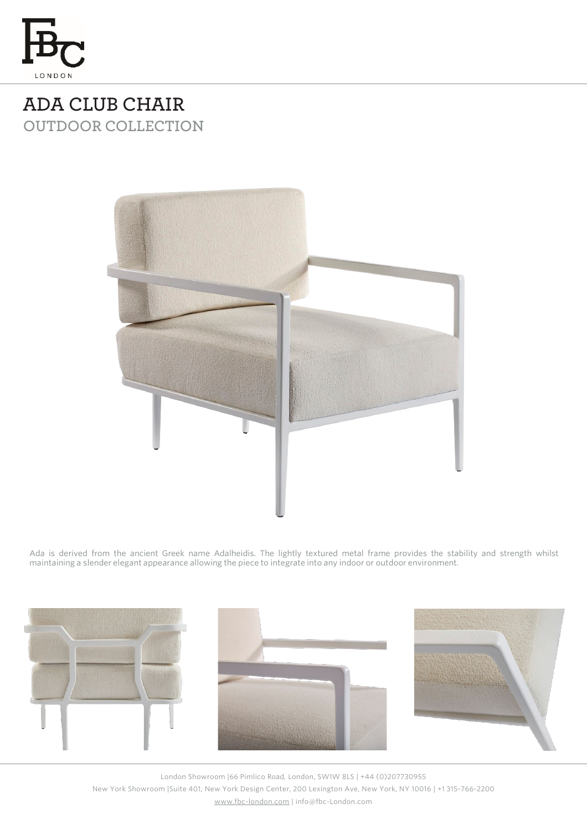

## **ADA CLUB CHAIR OUTDOOR COLLECTION**



Ada is derived from the ancient Greek name Adalheidis. The lightly textured metal frame provides the stability and strength whilst maintaining a slender elegant appearance allowing the piece to integrate into any indoor or outdoor environment.



London Showroom |66 Pimlico Road, London, SW1W 8LS | +44 (0)207730955 New York Showroom |Suite 401, New York Design Center, 200 Lexington Ave, New York, NY 10016 | +1 315-766-2200 [www.fbc-london.com](http://www.fbc-london.com/) | info@fbc-London.com